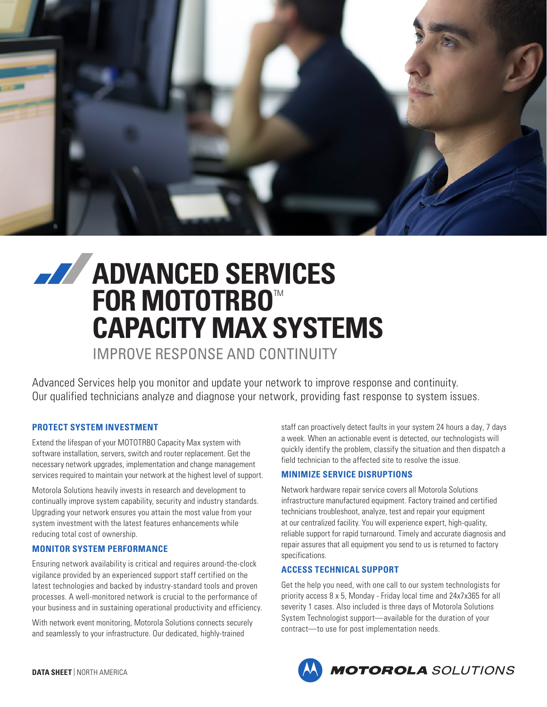

# **ADVANCED SERVICES FOR MOTOTRBO™ CAPACITY MAX SYSTEMS**

IMPROVE RESPONSE AND CONTINUITY

Advanced Services help you monitor and update your network to improve response and continuity. Our qualified technicians analyze and diagnose your network, providing fast response to system issues.

# **PROTECT SYSTEM INVESTMENT**

Extend the lifespan of your MOTOTRBO Capacity Max system with software installation, servers, switch and router replacement. Get the necessary network upgrades, implementation and change management services required to maintain your network at the highest level of support.

Motorola Solutions heavily invests in research and development to continually improve system capability, security and industry standards. Upgrading your network ensures you attain the most value from your system investment with the latest features enhancements while reducing total cost of ownership.

## **MONITOR SYSTEM PERFORMANCE**

Ensuring network availability is critical and requires around-the-clock vigilance provided by an experienced support staff certified on the latest technologies and backed by industry-standard tools and proven processes. A well-monitored network is crucial to the performance of your business and in sustaining operational productivity and efficiency.

With network event monitoring, Motorola Solutions connects securely and seamlessly to your infrastructure. Our dedicated, highly-trained

staff can proactively detect faults in your system 24 hours a day, 7 days a week. When an actionable event is detected, our technologists will quickly identify the problem, classify the situation and then dispatch a field technician to the affected site to resolve the issue.

## **MINIMIZE SERVICE DISRUPTIONS**

Network hardware repair service covers all Motorola Solutions infrastructure manufactured equipment. Factory trained and certified technicians troubleshoot, analyze, test and repair your equipment at our centralized facility. You will experience expert, high-quality, reliable support for rapid turnaround. Timely and accurate diagnosis and repair assures that all equipment you send to us is returned to factory specifications.

## **ACCESS TECHNICAL SUPPORT**

Get the help you need, with one call to our system technologists for priority access 8 x 5, Monday - Friday local time and 24x7x365 for all severity 1 cases. Also included is three days of Motorola Solutions System Technologist support—available for the duration of your contract—to use for post implementation needs.